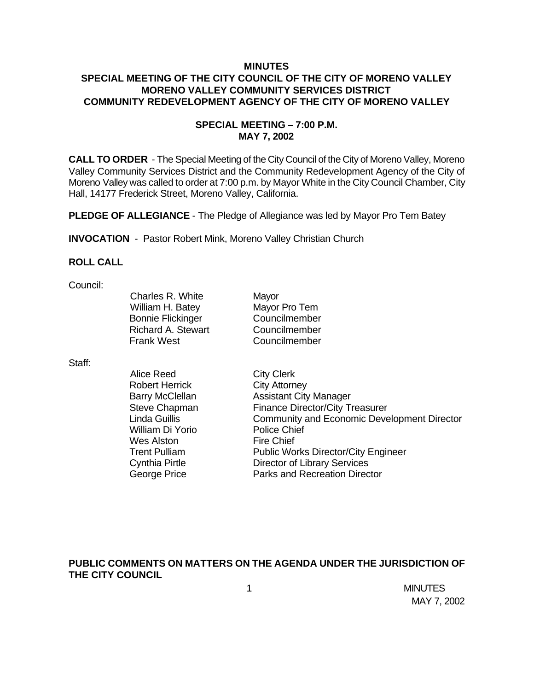### **MINUTES SPECIAL MEETING OF THE CITY COUNCIL OF THE CITY OF MORENO VALLEY MORENO VALLEY COMMUNITY SERVICES DISTRICT COMMUNITY REDEVELOPMENT AGENCY OF THE CITY OF MORENO VALLEY**

### **SPECIAL MEETING – 7:00 P.M. MAY 7, 2002**

**CALL TO ORDER** - The Special Meeting of the City Council of the City of Moreno Valley, Moreno Valley Community Services District and the Community Redevelopment Agency of the City of Moreno Valley was called to order at 7:00 p.m. by Mayor White in the City Council Chamber, City Hall, 14177 Frederick Street, Moreno Valley, California.

**PLEDGE OF ALLEGIANCE** - The Pledge of Allegiance was led by Mayor Pro Tem Batey

**INVOCATION** - Pastor Robert Mink, Moreno Valley Christian Church

#### **ROLL CALL**

#### Council:

| Charles R. White          | Mayor         |
|---------------------------|---------------|
| William H. Batey          | Mayor Pro Tem |
| <b>Bonnie Flickinger</b>  | Councilmember |
| <b>Richard A. Stewart</b> | Councilmember |
| <b>Frank West</b>         | Councilmember |
|                           |               |

Staff:

| Alice Reed             | <b>City Clerk</b>                                  |
|------------------------|----------------------------------------------------|
| <b>Robert Herrick</b>  | <b>City Attorney</b>                               |
| <b>Barry McClellan</b> | <b>Assistant City Manager</b>                      |
| Steve Chapman          | <b>Finance Director/City Treasurer</b>             |
| Linda Guillis          | <b>Community and Economic Development Director</b> |
| William Di Yorio       | <b>Police Chief</b>                                |
| <b>Wes Alston</b>      | <b>Fire Chief</b>                                  |
| <b>Trent Pulliam</b>   | <b>Public Works Director/City Engineer</b>         |
| <b>Cynthia Pirtle</b>  | <b>Director of Library Services</b>                |
| <b>George Price</b>    | Parks and Recreation Director                      |

# **PUBLIC COMMENTS ON MATTERS ON THE AGENDA UNDER THE JURISDICTION OF THE CITY COUNCIL**

 1 MINUTES MAY 7, 2002